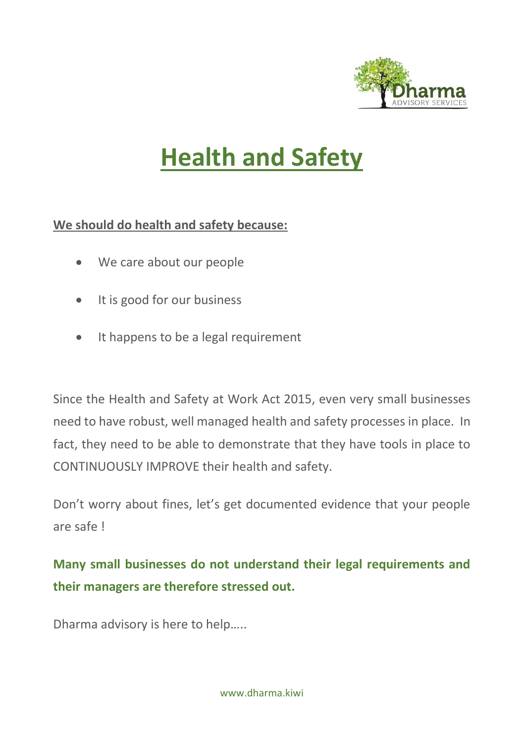

# **Health and Safety**

### **We should do health and safety because:**

- We care about our people
- It is good for our business
- It happens to be a legal requirement

Since the Health and Safety at Work Act 2015, even very small businesses need to have robust, well managed health and safety processes in place. In fact, they need to be able to demonstrate that they have tools in place to CONTINUOUSLY IMPROVE their health and safety.

Don't worry about fines, let's get documented evidence that your people are safe !

**Many small businesses do not understand their legal requirements and their managers are therefore stressed out.** 

Dharma advisory is here to help…..

www.dharma.kiwi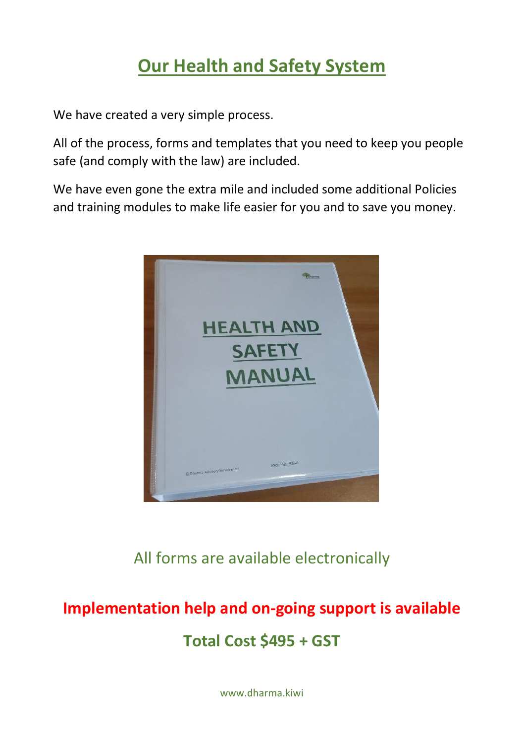### **Our Health and Safety System**

We have created a very simple process.

All of the process, forms and templates that you need to keep you people safe (and comply with the law) are included.

We have even gone the extra mile and included some additional Policies and training modules to make life easier for you and to save you money.



All forms are available electronically

## **Implementation help and on-going support is available Total Cost \$495 + GST**

www.dharma.kiwi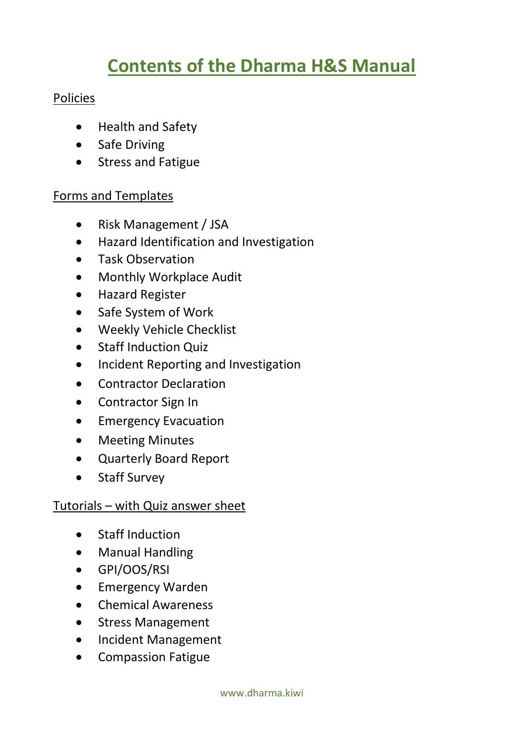### **Contents of the Dharma H&S Manual**

#### Policies

- Health and Safety
- Safe Driving
- Stress and Fatigue

#### Forms and Templates

- Risk Management / JSA
- Hazard Identification and Investigation
- Task Observation
- Monthly Workplace Audit
- Hazard Register
- Safe System of Work
- Weekly Vehicle Checklist
- Staff Induction Quiz
- Incident Reporting and Investigation
- Contractor Declaration
- Contractor Sign In
- **•** Emergency Evacuation
- Meeting Minutes
- Quarterly Board Report
- Staff Survey

#### Tutorials – with Quiz answer sheet

- Staff Induction
- Manual Handling
- GPI/OOS/RSI
- Emergency Warden
- Chemical Awareness
- Stress Management
- Incident Management
- Compassion Fatigue